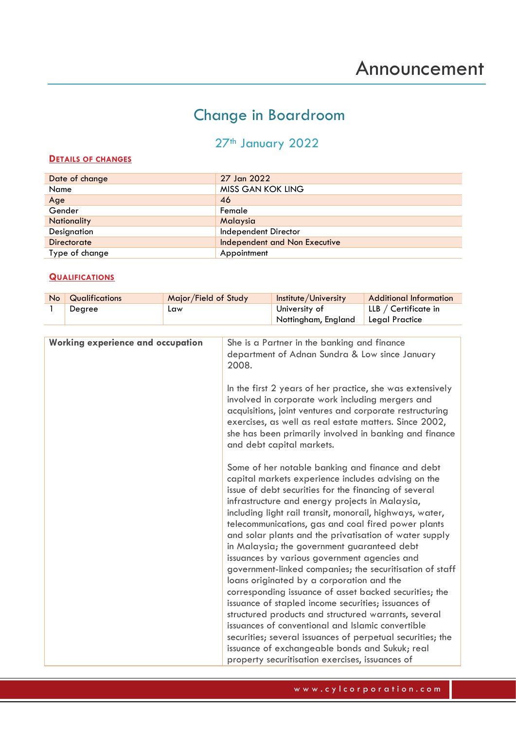## Change in Boardroom

## 27<sup>th</sup> January 2022

## **DETAILS OF CHANGES**

| Date of change     | 27 Jan 2022                   |
|--------------------|-------------------------------|
| Name               | MISS GAN KOK LING             |
| Age                | 46                            |
| Gender             | Female                        |
| <b>Nationality</b> | Malaysia                      |
| Designation        | Independent Director          |
| Directorate        | Independent and Non Executive |
| Type of change     | Appointment                   |

## **QUALIFICATIONS**

| No Qualifications | Major/Field of Study | Institute/University | Additional Information |
|-------------------|----------------------|----------------------|------------------------|
| Degree            | Law                  | University of        | LLB / Certificate in   |
|                   |                      | Nottingham, England  | Legal Practice         |

| <b>Working experience and occupation</b> | She is a Partner in the banking and finance<br>department of Adnan Sundra & Low since January<br>2008.                                                                                                                                                                                                                                                                                                                                                                                                                                                                                                                                                                                                                                                                                                                                                                                                                                                 |
|------------------------------------------|--------------------------------------------------------------------------------------------------------------------------------------------------------------------------------------------------------------------------------------------------------------------------------------------------------------------------------------------------------------------------------------------------------------------------------------------------------------------------------------------------------------------------------------------------------------------------------------------------------------------------------------------------------------------------------------------------------------------------------------------------------------------------------------------------------------------------------------------------------------------------------------------------------------------------------------------------------|
|                                          | In the first 2 years of her practice, she was extensively<br>involved in corporate work including mergers and<br>acquisitions, joint ventures and corporate restructuring<br>exercises, as well as real estate matters. Since 2002,<br>she has been primarily involved in banking and finance<br>and debt capital markets.                                                                                                                                                                                                                                                                                                                                                                                                                                                                                                                                                                                                                             |
|                                          | Some of her notable banking and finance and debt<br>capital markets experience includes advising on the<br>issue of debt securities for the financing of several<br>infrastructure and energy projects in Malaysia,<br>including light rail transit, monorail, highways, water,<br>telecommunications, gas and coal fired power plants<br>and solar plants and the privatisation of water supply<br>in Malaysia; the government guaranteed debt<br>issuances by various government agencies and<br>government-linked companies; the securitisation of staff<br>loans originated by a corporation and the<br>corresponding issuance of asset backed securities; the<br>issuance of stapled income securities; issuances of<br>structured products and structured warrants, several<br>issuances of conventional and Islamic convertible<br>securities; several issuances of perpetual securities; the<br>issuance of exchangeable bonds and Sukuk; real |
|                                          | property securitisation exercises, issuances of                                                                                                                                                                                                                                                                                                                                                                                                                                                                                                                                                                                                                                                                                                                                                                                                                                                                                                        |